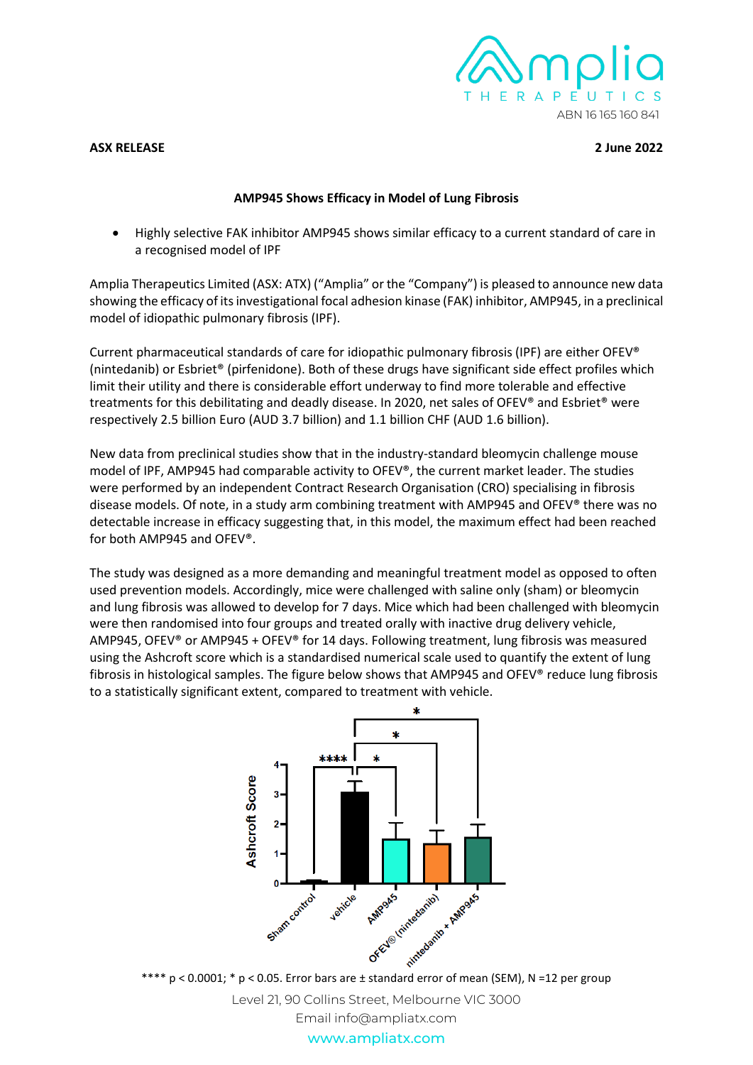

## **ASX RELEASE 2 June 2022**

## **AMP945 Shows Efficacy in Model of Lung Fibrosis**

• Highly selective FAK inhibitor AMP945 shows similar efficacy to a current standard of care in a recognised model of IPF

Amplia Therapeutics Limited (ASX: ATX) ("Amplia" or the "Company") is pleased to announce new data showing the efficacy of its investigational focal adhesion kinase (FAK) inhibitor, AMP945, in a preclinical model of idiopathic pulmonary fibrosis (IPF).

Current pharmaceutical standards of care for idiopathic pulmonary fibrosis (IPF) are either OFEV® (nintedanib) or Esbriet® (pirfenidone). Both of these drugs have significant side effect profiles which limit their utility and there is considerable effort underway to find more tolerable and effective treatments for this debilitating and deadly disease. In 2020, net sales of OFEV® and Esbriet® were respectively 2.5 billion Euro (AUD 3.7 billion) and 1.1 billion CHF (AUD 1.6 billion).

New data from preclinical studies show that in the industry-standard bleomycin challenge mouse model of IPF, AMP945 had comparable activity to OFEV®, the current market leader. The studies were performed by an independent Contract Research Organisation (CRO) specialising in fibrosis disease models. Of note, in a study arm combining treatment with AMP945 and OFEV® there was no detectable increase in efficacy suggesting that, in this model, the maximum effect had been reached for both AMP945 and OFEV®.

The study was designed as a more demanding and meaningful treatment model as opposed to often used prevention models. Accordingly, mice were challenged with saline only (sham) or bleomycin and lung fibrosis was allowed to develop for 7 days. Mice which had been challenged with bleomycin were then randomised into four groups and treated orally with inactive drug delivery vehicle, AMP945, OFEV® or AMP945 + OFEV® for 14 days. Following treatment, lung fibrosis was measured using the Ashcroft score which is a standardised numerical scale used to quantify the extent of lung fibrosis in histological samples. The figure below shows that AMP945 and OFEV® reduce lung fibrosis to a statistically significant extent, compared to treatment with vehicle.



Level 21, 90 Collins Street, Melbourne VIC 3000 Email info@ampliatx.com

www.ampliatx.com